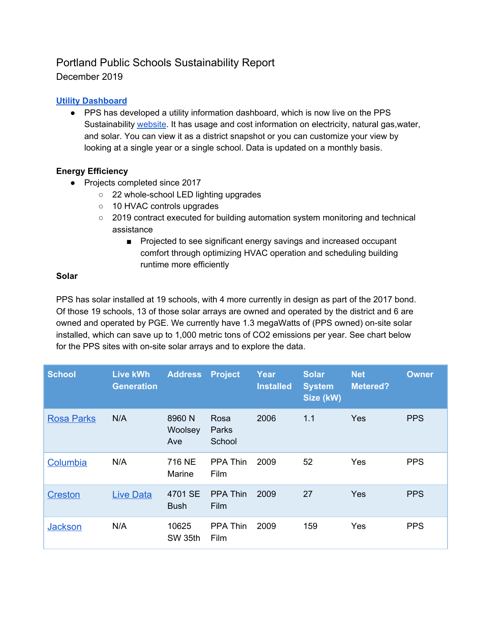## Portland Public Schools Sustainability Report December 2019

### **Utility [Dashboard](https://app.powerbi.com/view?r=eyJrIjoiYzFhM2VlNjctMjc1YS00ZTU1LTkwODQtOGI0ZWQyNmQzN2U0IiwidCI6IjRjYTJkNDI0LTBlMmYtNDM3My04MGQwLTdiZjMwNWQwYmRiOCIsImMiOjZ9)**

● PPS has developed a utility information dashboard, which is now live on the PPS Sustainability [website](https://www.pps.net/Page/1492). It has usage and cost information on electricity, natural gas, water, and solar. You can view it as a district snapshot or you can customize your view by looking at a single year or a single school. Data is updated on a monthly basis.

#### **Energy Efficiency**

- Projects completed since 2017
	- 22 whole-school LED lighting upgrades
	- 10 HVAC controls upgrades
	- 2019 contract executed for building automation system monitoring and technical assistance
		- Projected to see significant energy savings and increased occupant comfort through optimizing HVAC operation and scheduling building runtime more efficiently

#### **Solar**

PPS has solar installed at 19 schools, with 4 more currently in design as part of the 2017 bond. Of those 19 schools, 13 of those solar arrays are owned and operated by the district and 6 are owned and operated by PGE. We currently have 1.3 megaWatts of (PPS owned) on-site solar installed, which can save up to 1,000 metric tons of CO2 emissions per year. See chart below for the PPS sites with on-site solar arrays and to explore the data.

| <b>School</b>     | Live kWh<br><b>Generation</b> | <b>Address</b>           | <b>Project</b>          | Year<br><b>Installed</b> | <b>Solar</b><br><b>System</b><br>Size (kW) | <b>Net</b><br><b>Metered?</b> | <b>Owner</b> |
|-------------------|-------------------------------|--------------------------|-------------------------|--------------------------|--------------------------------------------|-------------------------------|--------------|
| <b>Rosa Parks</b> | N/A                           | 8960 N<br>Woolsey<br>Ave | Rosa<br>Parks<br>School | 2006                     | 1.1                                        | <b>Yes</b>                    | <b>PPS</b>   |
| Columbia          | N/A                           | 716 NE<br>Marine         | PPA Thin<br>Film        | 2009                     | 52                                         | Yes                           | <b>PPS</b>   |
| <b>Creston</b>    | <b>Live Data</b>              | 4701 SE<br><b>Bush</b>   | <b>PPA Thin</b><br>Film | 2009                     | 27                                         | Yes                           | <b>PPS</b>   |
| <b>Jackson</b>    | N/A                           | 10625<br>SW 35th         | <b>PPA Thin</b><br>Film | 2009                     | 159                                        | Yes                           | <b>PPS</b>   |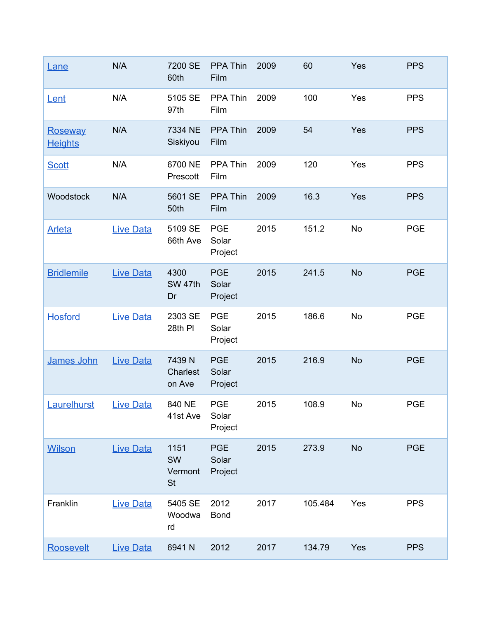| <u>Lane</u>                      | N/A              | 7200 SE<br>60th                    | <b>PPA Thin</b><br>Film        | 2009 | 60      | Yes       | <b>PPS</b> |
|----------------------------------|------------------|------------------------------------|--------------------------------|------|---------|-----------|------------|
| Lent                             | N/A              | 5105 SE<br>97th                    | PPA Thin<br>Film               | 2009 | 100     | Yes       | <b>PPS</b> |
| <b>Roseway</b><br><b>Heights</b> | N/A              | 7334 NE<br>Siskiyou                | PPA Thin<br>Film               | 2009 | 54      | Yes       | <b>PPS</b> |
| <b>Scott</b>                     | N/A              | 6700 NE<br>Prescott                | PPA Thin<br>Film               | 2009 | 120     | Yes       | <b>PPS</b> |
| Woodstock                        | N/A              | 5601 SE<br>50th                    | <b>PPA Thin</b><br>Film        | 2009 | 16.3    | Yes       | <b>PPS</b> |
| <b>Arleta</b>                    | <b>Live Data</b> | 5109 SE<br>66th Ave                | <b>PGE</b><br>Solar<br>Project | 2015 | 151.2   | <b>No</b> | <b>PGE</b> |
| <b>Bridlemile</b>                | <b>Live Data</b> | 4300<br>SW 47th<br>Dr              | <b>PGE</b><br>Solar<br>Project | 2015 | 241.5   | <b>No</b> | <b>PGE</b> |
| <b>Hosford</b>                   | <b>Live Data</b> | 2303 SE<br>28th PI                 | <b>PGE</b><br>Solar<br>Project | 2015 | 186.6   | <b>No</b> | <b>PGE</b> |
| James John                       | <b>Live Data</b> | 7439 N<br>Charlest<br>on Ave       | <b>PGE</b><br>Solar<br>Project | 2015 | 216.9   | <b>No</b> | <b>PGE</b> |
| Laurelhurst                      | <b>Live Data</b> | 840 NE<br>41st Ave                 | <b>PGE</b><br>Solar<br>Project | 2015 | 108.9   | No        | <b>PGE</b> |
| <b>Wilson</b>                    | <b>Live Data</b> | 1151<br>SW<br>Vermont<br><b>St</b> | <b>PGE</b><br>Solar<br>Project | 2015 | 273.9   | <b>No</b> | <b>PGE</b> |
| Franklin                         | <b>Live Data</b> | 5405 SE<br>Woodwa<br>rd            | 2012<br><b>Bond</b>            | 2017 | 105.484 | Yes       | <b>PPS</b> |
| Roosevelt                        | <b>Live Data</b> | 6941N                              | 2012                           | 2017 | 134.79  | Yes       | <b>PPS</b> |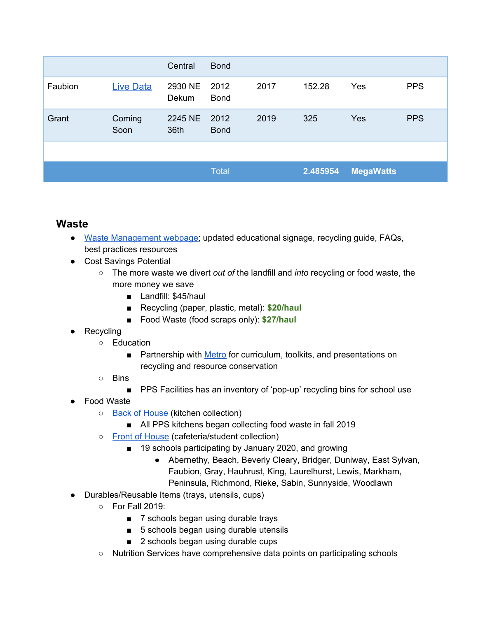|         |                  | Central          | <b>Bond</b>         |      |          |                  |            |
|---------|------------------|------------------|---------------------|------|----------|------------------|------------|
| Faubion | <b>Live Data</b> | 2930 NE<br>Dekum | 2012<br><b>Bond</b> | 2017 | 152.28   | Yes              | <b>PPS</b> |
| Grant   | Coming<br>Soon   | 2245 NE<br>36th  | 2012<br><b>Bond</b> | 2019 | 325      | <b>Yes</b>       | <b>PPS</b> |
|         |                  |                  |                     |      |          |                  |            |
|         |                  |                  | <b>Total</b>        |      | 2.485954 | <b>MegaWatts</b> |            |

## **Waste**

- Waste [Management](https://www.pps.net/Page/2094) webpage; updated educational signage, recycling guide, FAQs, best practices resources
- Cost Savings Potential
	- The more waste we divert *out of* the landfill and *into* recycling or food waste, the more money we save
		- Landfill: \$45/haul
		- Recycling (paper, plastic, metal): **\$20/haul**
		- Food Waste (food scraps only): **\$27/haul**
- Recycling
	- Education
		- Partnership with [Metro](https://www.oregonmetro.gov/tools-partners/education-resources/resource-conservation-and-recycling-education/curriculum) for curriculum, toolkits, and presentations on recycling and resource conservation
	- Bins
		- PPS Facilities has an inventory of 'pop-up' recycling bins for school use
- **Food Waste** 
	- Back of [House](https://www.pps.net/Page/2119) (kitchen collection)
		- All PPS kitchens began collecting food waste in fall 2019
	- Front of [House](https://docs.google.com/forms/d/e/1FAIpQLScFI95uMzOckW8znuj5fV89u0eVVi1X6VNbv-mPYruGTgjpvg/viewform?usp=sf_link) (cafeteria/student collection)
		- 19 schools participating by January 2020, and growing
			- Abernethy, Beach, Beverly Cleary, Bridger, Duniway, East Sylvan, Faubion, Gray, Hauhrust, King, Laurelhurst, Lewis, Markham, Peninsula, Richmond, Rieke, Sabin, Sunnyside, Woodlawn
- Durables/Reusable Items (trays, utensils, cups)
	- For Fall 2019:
		- 7 schools began using durable trays
		- 5 schools began using durable utensils
		- 2 schools began using durable cups
	- Nutrition Services have comprehensive data points on participating schools